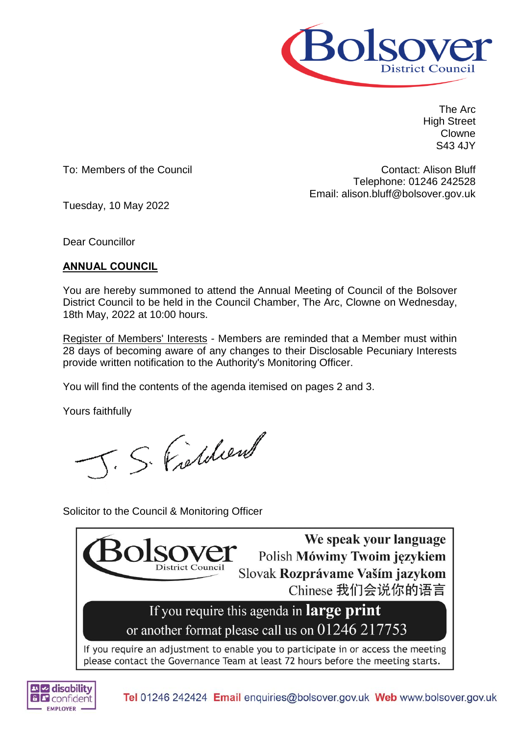

The Arc High Street Clowne S43 4JY

To: Members of the Council

Contact: Alison Bluff Telephone: 01246 242528 Email: alison.bluff@bolsover.gov.uk

Tuesday, 10 May 2022

Dear Councillor

# **ANNUAL COUNCIL**

You are hereby summoned to attend the Annual Meeting of Council of the Bolsover District Council to be held in the Council Chamber, The Arc, Clowne on Wednesday, 18th May, 2022 at 10:00 hours.

Register of Members' Interests - Members are reminded that a Member must within 28 days of becoming aware of any changes to their Disclosable Pecuniary Interests provide written notification to the Authority's Monitoring Officer.

You will find the contents of the agenda itemised on pages 2 and 3.

Yours faithfully

J. S. Fielden

Solicitor to the Council & Monitoring Officer



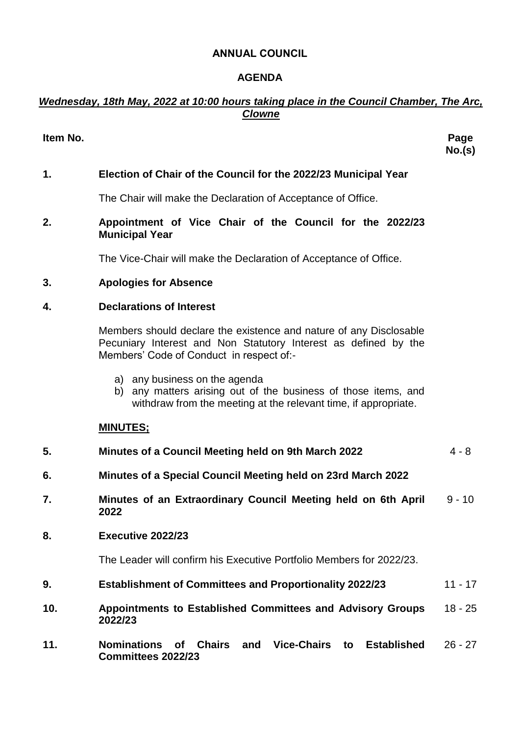## **ANNUAL COUNCIL**

## **AGENDA**

# *Wednesday, 18th May, 2022 at 10:00 hours taking place in the Council Chamber, The Arc, Clowne*

## **Item No. Page**

**No.(s)**

# **1. Election of Chair of the Council for the 2022/23 Municipal Year**

The Chair will make the Declaration of Acceptance of Office.

### **2. Appointment of Vice Chair of the Council for the 2022/23 Municipal Year**

The Vice-Chair will make the Declaration of Acceptance of Office.

## **3. Apologies for Absence**

### **4. Declarations of Interest**

Members should declare the existence and nature of any Disclosable Pecuniary Interest and Non Statutory Interest as defined by the Members' Code of Conduct in respect of:-

- a) any business on the agenda
- b) any matters arising out of the business of those items, and withdraw from the meeting at the relevant time, if appropriate.

#### **MINUTES;**

| 5.  | Minutes of a Council Meeting held on 9th March 2022                                                            | $4 - 8$   |
|-----|----------------------------------------------------------------------------------------------------------------|-----------|
| 6.  | Minutes of a Special Council Meeting held on 23rd March 2022                                                   |           |
| 7.  | Minutes of an Extraordinary Council Meeting held on 6th April<br>2022                                          | $9 - 10$  |
| 8.  | Executive 2022/23                                                                                              |           |
|     | The Leader will confirm his Executive Portfolio Members for 2022/23.                                           |           |
| 9.  | <b>Establishment of Committees and Proportionality 2022/23</b>                                                 | $11 - 17$ |
| 10. | Appointments to Established Committees and Advisory Groups<br>2022/23                                          | $18 - 25$ |
| 11. | Vice-Chairs to<br><b>Chairs</b><br><b>Nominations</b><br><b>Established</b><br>of<br>and<br>Committees 2022/23 | $26 - 27$ |